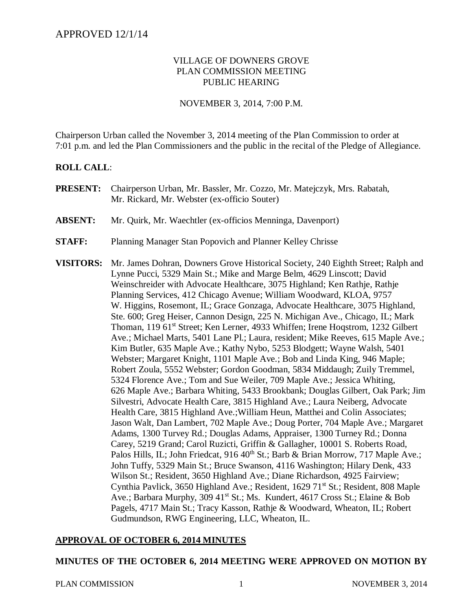#### VILLAGE OF DOWNERS GROVE PLAN COMMISSION MEETING PUBLIC HEARING

#### NOVEMBER 3, 2014, 7:00 P.M.

Chairperson Urban called the November 3, 2014 meeting of the Plan Commission to order at 7:01 p.m. and led the Plan Commissioners and the public in the recital of the Pledge of Allegiance.

#### **ROLL CALL**:

- **PRESENT:** Chairperson Urban, Mr. Bassler, Mr. Cozzo, Mr. Matejczyk, Mrs. Rabatah, Mr. Rickard, Mr. Webster (ex-officio Souter)
- **ABSENT:** Mr. Quirk, Mr. Waechtler (ex-officios Menninga, Davenport)
- **STAFF:** Planning Manager Stan Popovich and Planner Kelley Chrisse
- **VISITORS:** Mr. James Dohran, Downers Grove Historical Society, 240 Eighth Street; Ralph and Lynne Pucci, 5329 Main St.; Mike and Marge Belm, 4629 Linscott; David Weinschreider with Advocate Healthcare, 3075 Highland; Ken Rathje, Rathje Planning Services, 412 Chicago Avenue; William Woodward, KLOA, 9757 W. Higgins, Rosemont, IL; Grace Gonzaga, Advocate Healthcare, 3075 Highland, Ste. 600; Greg Heiser, Cannon Design, 225 N. Michigan Ave., Chicago, IL; Mark Thoman, 119 61<sup>st</sup> Street; Ken Lerner, 4933 Whiffen; Irene Hoqstrom, 1232 Gilbert Ave.; Michael Marts, 5401 Lane Pl.; Laura, resident; Mike Reeves, 615 Maple Ave.; Kim Butler, 635 Maple Ave.; Kathy Nybo, 5253 Blodgett; Wayne Walsh, 5401 Webster; Margaret Knight, 1101 Maple Ave.; Bob and Linda King, 946 Maple; Robert Zoula, 5552 Webster; Gordon Goodman, 5834 Middaugh; Zuily Tremmel, 5324 Florence Ave.; Tom and Sue Weiler, 709 Maple Ave.; Jessica Whiting, 626 Maple Ave.; Barbara Whiting, 5433 Brookbank; Douglas Gilbert, Oak Park; Jim Silvestri, Advocate Health Care, 3815 Highland Ave.; Laura Neiberg, Advocate Health Care, 3815 Highland Ave.;William Heun, Matthei and Colin Associates; Jason Walt, Dan Lambert, 702 Maple Ave.; Doug Porter, 704 Maple Ave.; Margaret Adams, 1300 Turvey Rd.; Douglas Adams, Appraiser, 1300 Turney Rd.; Donna Carey, 5219 Grand; Carol Ruzicti, Griffin & Gallagher, 10001 S. Roberts Road, Palos Hills, IL; John Friedcat, 916 40<sup>th</sup> St.; Barb & Brian Morrow, 717 Maple Ave.; John Tuffy, 5329 Main St.; Bruce Swanson, 4116 Washington; Hilary Denk, 433 Wilson St.; Resident, 3650 Highland Ave.; Diane Richardson, 4925 Fairview; Cynthia Pavlick, 3650 Highland Ave.; Resident, 1629 71<sup>st</sup> St.; Resident, 808 Maple Ave.; Barbara Murphy, 309 41<sup>st</sup> St.; Ms. Kundert, 4617 Cross St.; Elaine & Bob Pagels, 4717 Main St.; Tracy Kasson, Rathje & Woodward, Wheaton, IL; Robert Gudmundson, RWG Engineering, LLC, Wheaton, IL.

#### **APPROVAL OF OCTOBER 6, 2014 MINUTES**

#### **MINUTES OF THE OCTOBER 6, 2014 MEETING WERE APPROVED ON MOTION BY**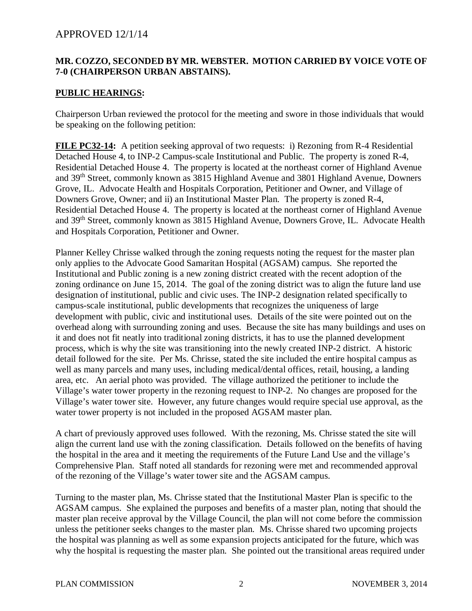#### **MR. COZZO, SECONDED BY MR. WEBSTER. MOTION CARRIED BY VOICE VOTE OF 7-0 (CHAIRPERSON URBAN ABSTAINS).**

#### **PUBLIC HEARINGS:**

Chairperson Urban reviewed the protocol for the meeting and swore in those individuals that would be speaking on the following petition:

**FILE PC32-14:** A petition seeking approval of two requests: i) Rezoning from R-4 Residential Detached House 4, to INP-2 Campus-scale Institutional and Public. The property is zoned R-4, Residential Detached House 4. The property is located at the northeast corner of Highland Avenue and 39th Street, commonly known as 3815 Highland Avenue and 3801 Highland Avenue, Downers Grove, IL. Advocate Health and Hospitals Corporation, Petitioner and Owner, and Village of Downers Grove, Owner; and ii) an Institutional Master Plan. The property is zoned R-4, Residential Detached House 4. The property is located at the northeast corner of Highland Avenue and 39th Street, commonly known as 3815 Highland Avenue, Downers Grove, IL. Advocate Health and Hospitals Corporation, Petitioner and Owner.

Planner Kelley Chrisse walked through the zoning requests noting the request for the master plan only applies to the Advocate Good Samaritan Hospital (AGSAM) campus. She reported the Institutional and Public zoning is a new zoning district created with the recent adoption of the zoning ordinance on June 15, 2014. The goal of the zoning district was to align the future land use designation of institutional, public and civic uses. The INP-2 designation related specifically to campus-scale institutional, public developments that recognizes the uniqueness of large development with public, civic and institutional uses. Details of the site were pointed out on the overhead along with surrounding zoning and uses. Because the site has many buildings and uses on it and does not fit neatly into traditional zoning districts, it has to use the planned development process, which is why the site was transitioning into the newly created INP-2 district. A historic detail followed for the site. Per Ms. Chrisse, stated the site included the entire hospital campus as well as many parcels and many uses, including medical/dental offices, retail, housing, a landing area, etc. An aerial photo was provided. The village authorized the petitioner to include the Village's water tower property in the rezoning request to INP-2. No changes are proposed for the Village's water tower site. However, any future changes would require special use approval, as the water tower property is not included in the proposed AGSAM master plan.

A chart of previously approved uses followed. With the rezoning, Ms. Chrisse stated the site will align the current land use with the zoning classification. Details followed on the benefits of having the hospital in the area and it meeting the requirements of the Future Land Use and the village's Comprehensive Plan. Staff noted all standards for rezoning were met and recommended approval of the rezoning of the Village's water tower site and the AGSAM campus.

Turning to the master plan, Ms. Chrisse stated that the Institutional Master Plan is specific to the AGSAM campus. She explained the purposes and benefits of a master plan, noting that should the master plan receive approval by the Village Council, the plan will not come before the commission unless the petitioner seeks changes to the master plan. Ms. Chrisse shared two upcoming projects the hospital was planning as well as some expansion projects anticipated for the future, which was why the hospital is requesting the master plan. She pointed out the transitional areas required under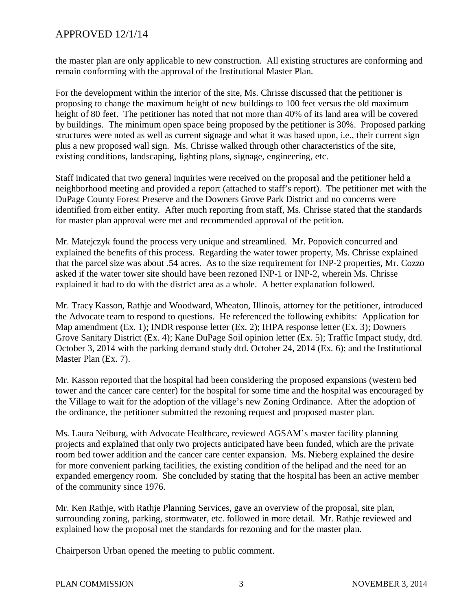the master plan are only applicable to new construction. All existing structures are conforming and remain conforming with the approval of the Institutional Master Plan.

For the development within the interior of the site, Ms. Chrisse discussed that the petitioner is proposing to change the maximum height of new buildings to 100 feet versus the old maximum height of 80 feet. The petitioner has noted that not more than 40% of its land area will be covered by buildings. The minimum open space being proposed by the petitioner is 30%. Proposed parking structures were noted as well as current signage and what it was based upon, i.e., their current sign plus a new proposed wall sign. Ms. Chrisse walked through other characteristics of the site, existing conditions, landscaping, lighting plans, signage, engineering, etc.

Staff indicated that two general inquiries were received on the proposal and the petitioner held a neighborhood meeting and provided a report (attached to staff's report). The petitioner met with the DuPage County Forest Preserve and the Downers Grove Park District and no concerns were identified from either entity. After much reporting from staff, Ms. Chrisse stated that the standards for master plan approval were met and recommended approval of the petition.

Mr. Matejczyk found the process very unique and streamlined. Mr. Popovich concurred and explained the benefits of this process. Regarding the water tower property, Ms. Chrisse explained that the parcel size was about .54 acres. As to the size requirement for INP-2 properties, Mr. Cozzo asked if the water tower site should have been rezoned INP-1 or INP-2, wherein Ms. Chrisse explained it had to do with the district area as a whole. A better explanation followed.

Mr. Tracy Kasson, Rathje and Woodward, Wheaton, Illinois, attorney for the petitioner, introduced the Advocate team to respond to questions. He referenced the following exhibits: Application for Map amendment (Ex. 1); INDR response letter (Ex. 2); IHPA response letter (Ex. 3); Downers Grove Sanitary District (Ex. 4); Kane DuPage Soil opinion letter (Ex. 5); Traffic Impact study, dtd. October 3, 2014 with the parking demand study dtd. October 24, 2014 (Ex. 6); and the Institutional Master Plan (Ex. 7).

Mr. Kasson reported that the hospital had been considering the proposed expansions (western bed tower and the cancer care center) for the hospital for some time and the hospital was encouraged by the Village to wait for the adoption of the village's new Zoning Ordinance. After the adoption of the ordinance, the petitioner submitted the rezoning request and proposed master plan.

Ms. Laura Neiburg, with Advocate Healthcare, reviewed AGSAM's master facility planning projects and explained that only two projects anticipated have been funded, which are the private room bed tower addition and the cancer care center expansion. Ms. Nieberg explained the desire for more convenient parking facilities, the existing condition of the helipad and the need for an expanded emergency room. She concluded by stating that the hospital has been an active member of the community since 1976.

Mr. Ken Rathje, with Rathje Planning Services, gave an overview of the proposal, site plan, surrounding zoning, parking, stormwater, etc. followed in more detail. Mr. Rathje reviewed and explained how the proposal met the standards for rezoning and for the master plan.

Chairperson Urban opened the meeting to public comment.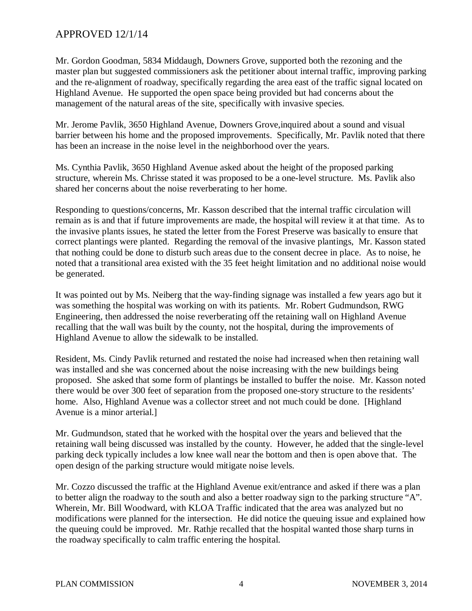Mr. Gordon Goodman, 5834 Middaugh, Downers Grove, supported both the rezoning and the master plan but suggested commissioners ask the petitioner about internal traffic, improving parking and the re-alignment of roadway, specifically regarding the area east of the traffic signal located on Highland Avenue. He supported the open space being provided but had concerns about the management of the natural areas of the site, specifically with invasive species.

Mr. Jerome Pavlik, 3650 Highland Avenue, Downers Grove,inquired about a sound and visual barrier between his home and the proposed improvements. Specifically, Mr. Pavlik noted that there has been an increase in the noise level in the neighborhood over the years.

Ms. Cynthia Pavlik, 3650 Highland Avenue asked about the height of the proposed parking structure, wherein Ms. Chrisse stated it was proposed to be a one-level structure. Ms. Pavlik also shared her concerns about the noise reverberating to her home.

Responding to questions/concerns, Mr. Kasson described that the internal traffic circulation will remain as is and that if future improvements are made, the hospital will review it at that time. As to the invasive plants issues, he stated the letter from the Forest Preserve was basically to ensure that correct plantings were planted. Regarding the removal of the invasive plantings, Mr. Kasson stated that nothing could be done to disturb such areas due to the consent decree in place. As to noise, he noted that a transitional area existed with the 35 feet height limitation and no additional noise would be generated.

It was pointed out by Ms. Neiberg that the way-finding signage was installed a few years ago but it was something the hospital was working on with its patients. Mr. Robert Gudmundson, RWG Engineering, then addressed the noise reverberating off the retaining wall on Highland Avenue recalling that the wall was built by the county, not the hospital, during the improvements of Highland Avenue to allow the sidewalk to be installed.

Resident, Ms. Cindy Pavlik returned and restated the noise had increased when then retaining wall was installed and she was concerned about the noise increasing with the new buildings being proposed. She asked that some form of plantings be installed to buffer the noise. Mr. Kasson noted there would be over 300 feet of separation from the proposed one-story structure to the residents' home. Also, Highland Avenue was a collector street and not much could be done. [Highland Avenue is a minor arterial.]

Mr. Gudmundson, stated that he worked with the hospital over the years and believed that the retaining wall being discussed was installed by the county. However, he added that the single-level parking deck typically includes a low knee wall near the bottom and then is open above that. The open design of the parking structure would mitigate noise levels.

Mr. Cozzo discussed the traffic at the Highland Avenue exit/entrance and asked if there was a plan to better align the roadway to the south and also a better roadway sign to the parking structure "A". Wherein, Mr. Bill Woodward, with KLOA Traffic indicated that the area was analyzed but no modifications were planned for the intersection. He did notice the queuing issue and explained how the queuing could be improved. Mr. Rathje recalled that the hospital wanted those sharp turns in the roadway specifically to calm traffic entering the hospital.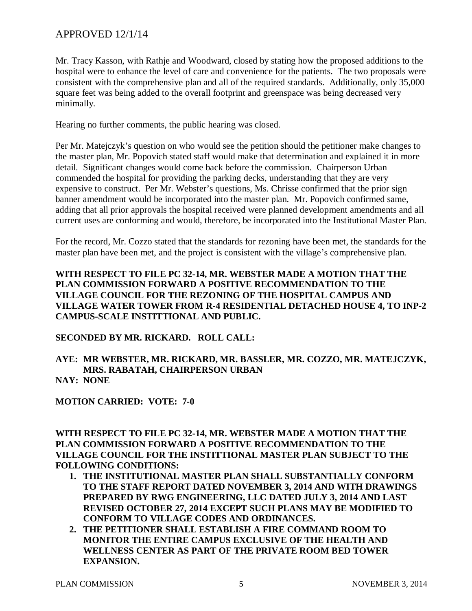Mr. Tracy Kasson, with Rathje and Woodward, closed by stating how the proposed additions to the hospital were to enhance the level of care and convenience for the patients. The two proposals were consistent with the comprehensive plan and all of the required standards. Additionally, only 35,000 square feet was being added to the overall footprint and greenspace was being decreased very minimally.

Hearing no further comments, the public hearing was closed.

Per Mr. Matejczyk's question on who would see the petition should the petitioner make changes to the master plan, Mr. Popovich stated staff would make that determination and explained it in more detail. Significant changes would come back before the commission. Chairperson Urban commended the hospital for providing the parking decks, understanding that they are very expensive to construct. Per Mr. Webster's questions, Ms. Chrisse confirmed that the prior sign banner amendment would be incorporated into the master plan. Mr. Popovich confirmed same, adding that all prior approvals the hospital received were planned development amendments and all current uses are conforming and would, therefore, be incorporated into the Institutional Master Plan.

For the record, Mr. Cozzo stated that the standards for rezoning have been met, the standards for the master plan have been met, and the project is consistent with the village's comprehensive plan.

**WITH RESPECT TO FILE PC 32-14, MR. WEBSTER MADE A MOTION THAT THE PLAN COMMISSION FORWARD A POSITIVE RECOMMENDATION TO THE VILLAGE COUNCIL FOR THE REZONING OF THE HOSPITAL CAMPUS AND VILLAGE WATER TOWER FROM R-4 RESIDENTIAL DETACHED HOUSE 4, TO INP-2 CAMPUS-SCALE INSTITTIONAL AND PUBLIC.**

#### **SECONDED BY MR. RICKARD. ROLL CALL:**

#### **AYE: MR WEBSTER, MR. RICKARD, MR. BASSLER, MR. COZZO, MR. MATEJCZYK, MRS. RABATAH, CHAIRPERSON URBAN NAY: NONE**

**MOTION CARRIED: VOTE: 7-0** 

**WITH RESPECT TO FILE PC 32-14, MR. WEBSTER MADE A MOTION THAT THE PLAN COMMISSION FORWARD A POSITIVE RECOMMENDATION TO THE VILLAGE COUNCIL FOR THE INSTITTIONAL MASTER PLAN SUBJECT TO THE FOLLOWING CONDITIONS:** 

- **1. THE INSTITUTIONAL MASTER PLAN SHALL SUBSTANTIALLY CONFORM TO THE STAFF REPORT DATED NOVEMBER 3, 2014 AND WITH DRAWINGS PREPARED BY RWG ENGINEERING, LLC DATED JULY 3, 2014 AND LAST REVISED OCTOBER 27, 2014 EXCEPT SUCH PLANS MAY BE MODIFIED TO CONFORM TO VILLAGE CODES AND ORDINANCES.**
- **2. THE PETITIONER SHALL ESTABLISH A FIRE COMMAND ROOM TO MONITOR THE ENTIRE CAMPUS EXCLUSIVE OF THE HEALTH AND WELLNESS CENTER AS PART OF THE PRIVATE ROOM BED TOWER EXPANSION.**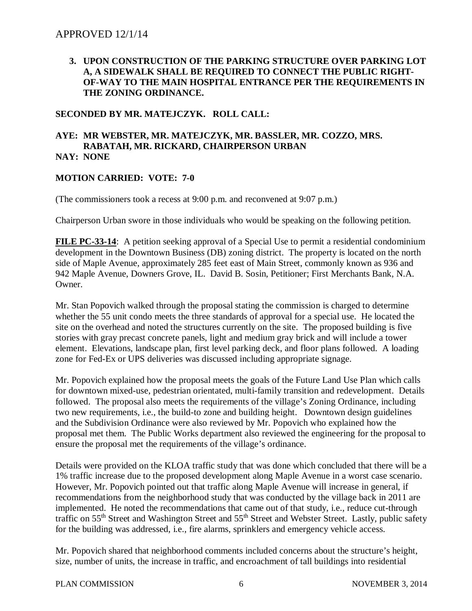#### **3. UPON CONSTRUCTION OF THE PARKING STRUCTURE OVER PARKING LOT A, A SIDEWALK SHALL BE REQUIRED TO CONNECT THE PUBLIC RIGHT-OF-WAY TO THE MAIN HOSPITAL ENTRANCE PER THE REQUIREMENTS IN THE ZONING ORDINANCE.**

# **SECONDED BY MR. MATEJCZYK. ROLL CALL:**

#### **AYE: MR WEBSTER, MR. MATEJCZYK, MR. BASSLER, MR. COZZO, MRS. RABATAH, MR. RICKARD, CHAIRPERSON URBAN NAY: NONE**

# **MOTION CARRIED: VOTE: 7-0**

(The commissioners took a recess at 9:00 p.m. and reconvened at 9:07 p.m.)

Chairperson Urban swore in those individuals who would be speaking on the following petition.

**FILE PC-33-14:** A petition seeking approval of a Special Use to permit a residential condominium development in the Downtown Business (DB) zoning district. The property is located on the north side of Maple Avenue, approximately 285 feet east of Main Street, commonly known as 936 and 942 Maple Avenue, Downers Grove, IL. David B. Sosin, Petitioner; First Merchants Bank, N.A. Owner.

Mr. Stan Popovich walked through the proposal stating the commission is charged to determine whether the 55 unit condo meets the three standards of approval for a special use. He located the site on the overhead and noted the structures currently on the site. The proposed building is five stories with gray precast concrete panels, light and medium gray brick and will include a tower element. Elevations, landscape plan, first level parking deck, and floor plans followed. A loading zone for Fed-Ex or UPS deliveries was discussed including appropriate signage.

Mr. Popovich explained how the proposal meets the goals of the Future Land Use Plan which calls for downtown mixed-use, pedestrian orientated, multi-family transition and redevelopment. Details followed. The proposal also meets the requirements of the village's Zoning Ordinance, including two new requirements, i.e., the build-to zone and building height. Downtown design guidelines and the Subdivision Ordinance were also reviewed by Mr. Popovich who explained how the proposal met them. The Public Works department also reviewed the engineering for the proposal to ensure the proposal met the requirements of the village's ordinance.

Details were provided on the KLOA traffic study that was done which concluded that there will be a 1% traffic increase due to the proposed development along Maple Avenue in a worst case scenario. However, Mr. Popovich pointed out that traffic along Maple Avenue will increase in general, if recommendations from the neighborhood study that was conducted by the village back in 2011 are implemented. He noted the recommendations that came out of that study, i.e., reduce cut-through traffic on 55<sup>th</sup> Street and Washington Street and 55<sup>th</sup> Street and Webster Street. Lastly, public safety for the building was addressed, i.e., fire alarms, sprinklers and emergency vehicle access.

Mr. Popovich shared that neighborhood comments included concerns about the structure's height, size, number of units, the increase in traffic, and encroachment of tall buildings into residential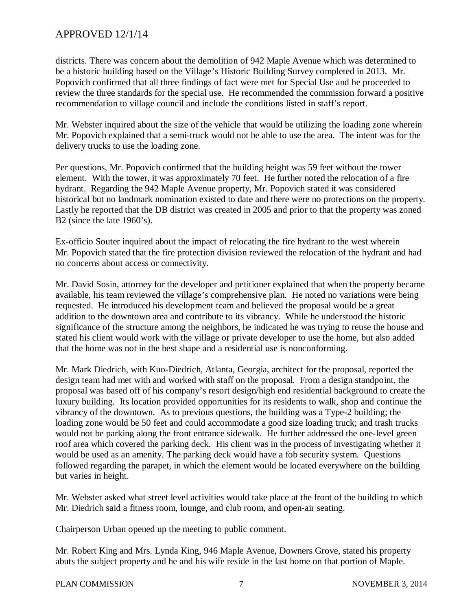districts. There was concern about the demolition of 942 Maple Avenue which was determined to be a historic building based on the Village's Historic Building Survey completed in 2013. Mr. Popovich confirmed that all three findings of fact were met for Special Use and he proceeded to review the three standards for the special use. He recommended the commission forward a positive recommendation to village council and include the conditions listed in staff's report.

Mr. Webster inquired about the size of the vehicle that would be utilizing the loading zone wherein Mr. Popovich explained that a semi-truck would not be able to use the area. The intent was for the delivery trucks to use the loading zone.

Per questions, Mr. Popovich confirmed that the building height was 59 feet without the tower element. With the tower, it was approximately 70 feet. He further noted the relocation of a fire hydrant. Regarding the 942 Maple Avenue property, Mr. Popovich stated it was considered historical but no landmark nomination existed to date and there were no protections on the property. Lastly he reported that the DB district was created in 2005 and prior to that the property was zoned B<sub>2</sub> (since the late 1960's).

Ex-officio Souter inquired about the impact of relocating the fire hydrant to the west wherein Mr. Popovich stated that the fire protection division reviewed the relocation of the hydrant and had no concerns about access or connectivity.

Mr. David Sosin, attorney for the developer and petitioner explained that when the property became available, his team reviewed the village's comprehensive plan. He noted no variations were being requested. He introduced his development team and believed the proposal would be a great addition to the downtown area and contribute to its vibrancy. While he understood the historic significance of the structure among the neighbors, he indicated he was trying to reuse the house and stated his client would work with the village or private developer to use the home, but also added that the home was not in the best shape and a residential use is nonconforming.

Mr. Mark Diedrich, with Kuo-Diedrich, Atlanta, Georgia, architect for the proposal, reported the design team had met with and worked with staff on the proposal. From a design standpoint, the proposal was based off of his company's resort design/high end residential background to create the luxury building. Its location provided opportunities for its residents to walk, shop and continue the vibrancy of the downtown. As to previous questions, the building was a Type-2 building; the loading zone would be 50 feet and could accommodate a good size loading truck; and trash trucks would not be parking along the front entrance sidewalk. He further addressed the one-level green roof area which covered the parking deck. His client was in the process of investigating whether it would be used as an amenity. The parking deck would have a fob security system. Questions followed regarding the parapet, in which the element would be located everywhere on the building but varies in height.

Mr. Webster asked what street level activities would take place at the front of the building to which Mr. Diedrich said a fitness room, lounge, and club room, and open-air seating.

Chairperson Urban opened up the meeting to public comment.

Mr. Robert King and Mrs. Lynda King, 946 Maple Avenue, Downers Grove, stated his property abuts the subject property and he and his wife reside in the last home on that portion of Maple.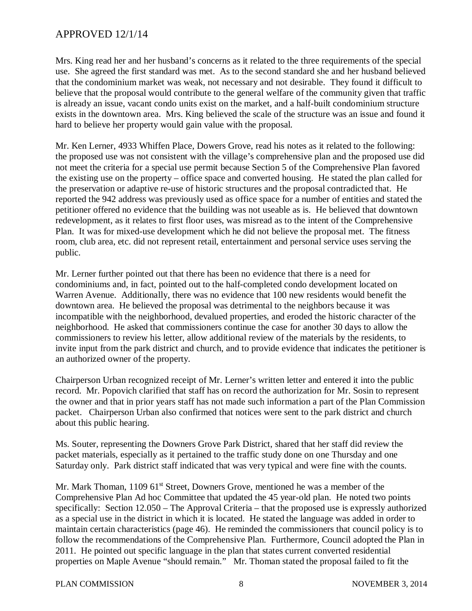Mrs. King read her and her husband's concerns as it related to the three requirements of the special use. She agreed the first standard was met. As to the second standard she and her husband believed that the condominium market was weak, not necessary and not desirable. They found it difficult to believe that the proposal would contribute to the general welfare of the community given that traffic is already an issue, vacant condo units exist on the market, and a half-built condominium structure exists in the downtown area. Mrs. King believed the scale of the structure was an issue and found it hard to believe her property would gain value with the proposal.

Mr. Ken Lerner, 4933 Whiffen Place, Dowers Grove, read his notes as it related to the following: the proposed use was not consistent with the village's comprehensive plan and the proposed use did not meet the criteria for a special use permit because Section 5 of the Comprehensive Plan favored the existing use on the property – office space and converted housing. He stated the plan called for the preservation or adaptive re-use of historic structures and the proposal contradicted that. He reported the 942 address was previously used as office space for a number of entities and stated the petitioner offered no evidence that the building was not useable as is. He believed that downtown redevelopment, as it relates to first floor uses, was misread as to the intent of the Comprehensive Plan. It was for mixed-use development which he did not believe the proposal met. The fitness room, club area, etc. did not represent retail, entertainment and personal service uses serving the public.

Mr. Lerner further pointed out that there has been no evidence that there is a need for condominiums and, in fact, pointed out to the half-completed condo development located on Warren Avenue. Additionally, there was no evidence that 100 new residents would benefit the downtown area. He believed the proposal was detrimental to the neighbors because it was incompatible with the neighborhood, devalued properties, and eroded the historic character of the neighborhood. He asked that commissioners continue the case for another 30 days to allow the commissioners to review his letter, allow additional review of the materials by the residents, to invite input from the park district and church, and to provide evidence that indicates the petitioner is an authorized owner of the property.

Chairperson Urban recognized receipt of Mr. Lerner's written letter and entered it into the public record. Mr. Popovich clarified that staff has on record the authorization for Mr. Sosin to represent the owner and that in prior years staff has not made such information a part of the Plan Commission packet. Chairperson Urban also confirmed that notices were sent to the park district and church about this public hearing.

Ms. Souter, representing the Downers Grove Park District, shared that her staff did review the packet materials, especially as it pertained to the traffic study done on one Thursday and one Saturday only. Park district staff indicated that was very typical and were fine with the counts.

Mr. Mark Thoman,  $110961<sup>st</sup>$  Street, Downers Grove, mentioned he was a member of the Comprehensive Plan Ad hoc Committee that updated the 45 year-old plan. He noted two points specifically: Section 12.050 – The Approval Criteria – that the proposed use is expressly authorized as a special use in the district in which it is located. He stated the language was added in order to maintain certain characteristics (page 46). He reminded the commissioners that council policy is to follow the recommendations of the Comprehensive Plan. Furthermore, Council adopted the Plan in 2011. He pointed out specific language in the plan that states current converted residential properties on Maple Avenue "should remain." Mr. Thoman stated the proposal failed to fit the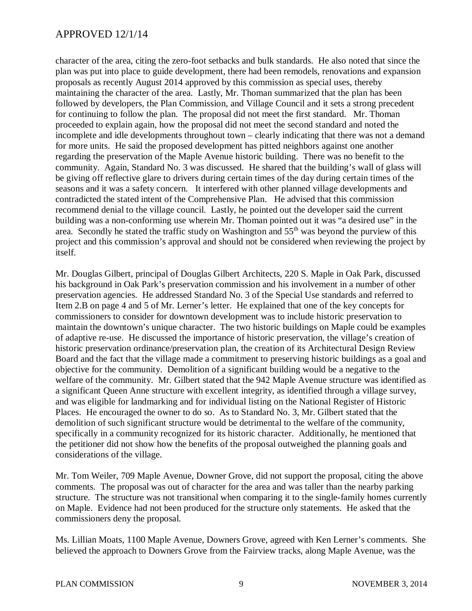character of the area, citing the zero-foot setbacks and bulk standards. He also noted that since the plan was put into place to guide development, there had been remodels, renovations and expansion proposals as recently August 2014 approved by this commission as special uses, thereby maintaining the character of the area. Lastly, Mr. Thoman summarized that the plan has been followed by developers, the Plan Commission, and Village Council and it sets a strong precedent for continuing to follow the plan. The proposal did not meet the first standard. Mr. Thoman proceeded to explain again, how the proposal did not meet the second standard and noted the incomplete and idle developments throughout town – clearly indicating that there was not a demand for more units. He said the proposed development has pitted neighbors against one another regarding the preservation of the Maple Avenue historic building. There was no benefit to the community. Again, Standard No. 3 was discussed. He shared that the building's wall of glass will be giving off reflective glare to drivers during certain times of the day during certain times of the seasons and it was a safety concern. It interfered with other planned village developments and contradicted the stated intent of the Comprehensive Plan. He advised that this commission recommend denial to the village council. Lastly, he pointed out the developer said the current building was a non-conforming use wherein Mr. Thoman pointed out it was "a desired use" in the area. Secondly he stated the traffic study on Washington and  $55<sup>th</sup>$  was beyond the purview of this project and this commission's approval and should not be considered when reviewing the project by itself.

Mr. Douglas Gilbert, principal of Douglas Gilbert Architects, 220 S. Maple in Oak Park, discussed his background in Oak Park's preservation commission and his involvement in a number of other preservation agencies. He addressed Standard No. 3 of the Special Use standards and referred to Item 2.B on page 4 and 5 of Mr. Lerner's letter. He explained that one of the key concepts for commissioners to consider for downtown development was to include historic preservation to maintain the downtown's unique character. The two historic buildings on Maple could be examples of adaptive re-use. He discussed the importance of historic preservation, the village's creation of historic preservation ordinance/preservation plan, the creation of its Architectural Design Review Board and the fact that the village made a commitment to preserving historic buildings as a goal and objective for the community. Demolition of a significant building would be a negative to the welfare of the community. Mr. Gilbert stated that the 942 Maple Avenue structure was identified as a significant Queen Anne structure with excellent integrity, as identified through a village survey, and was eligible for landmarking and for individual listing on the National Register of Historic Places. He encouraged the owner to do so. As to Standard No. 3, Mr. Gilbert stated that the demolition of such significant structure would be detrimental to the welfare of the community, specifically in a community recognized for its historic character. Additionally, he mentioned that the petitioner did not show how the benefits of the proposal outweighed the planning goals and considerations of the village.

Mr. Tom Weiler, 709 Maple Avenue, Downer Grove, did not support the proposal, citing the above comments. The proposal was out of character for the area and was taller than the nearby parking structure. The structure was not transitional when comparing it to the single-family homes currently on Maple. Evidence had not been produced for the structure only statements. He asked that the commissioners deny the proposal.

Ms. Lillian Moats, 1100 Maple Avenue, Downers Grove, agreed with Ken Lerner's comments. She believed the approach to Downers Grove from the Fairview tracks, along Maple Avenue, was the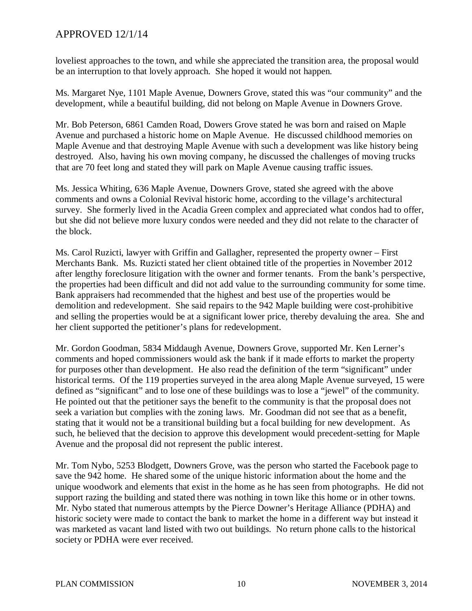loveliest approaches to the town, and while she appreciated the transition area, the proposal would be an interruption to that lovely approach. She hoped it would not happen.

Ms. Margaret Nye, 1101 Maple Avenue, Downers Grove, stated this was "our community" and the development, while a beautiful building, did not belong on Maple Avenue in Downers Grove.

Mr. Bob Peterson, 6861 Camden Road, Dowers Grove stated he was born and raised on Maple Avenue and purchased a historic home on Maple Avenue. He discussed childhood memories on Maple Avenue and that destroying Maple Avenue with such a development was like history being destroyed. Also, having his own moving company, he discussed the challenges of moving trucks that are 70 feet long and stated they will park on Maple Avenue causing traffic issues.

Ms. Jessica Whiting, 636 Maple Avenue, Downers Grove, stated she agreed with the above comments and owns a Colonial Revival historic home, according to the village's architectural survey. She formerly lived in the Acadia Green complex and appreciated what condos had to offer, but she did not believe more luxury condos were needed and they did not relate to the character of the block.

Ms. Carol Ruzicti, lawyer with Griffin and Gallagher, represented the property owner – First Merchants Bank. Ms. Ruzicti stated her client obtained title of the properties in November 2012 after lengthy foreclosure litigation with the owner and former tenants. From the bank's perspective, the properties had been difficult and did not add value to the surrounding community for some time. Bank appraisers had recommended that the highest and best use of the properties would be demolition and redevelopment. She said repairs to the 942 Maple building were cost-prohibitive and selling the properties would be at a significant lower price, thereby devaluing the area. She and her client supported the petitioner's plans for redevelopment.

Mr. Gordon Goodman, 5834 Middaugh Avenue, Downers Grove, supported Mr. Ken Lerner's comments and hoped commissioners would ask the bank if it made efforts to market the property for purposes other than development. He also read the definition of the term "significant" under historical terms. Of the 119 properties surveyed in the area along Maple Avenue surveyed, 15 were defined as "significant" and to lose one of these buildings was to lose a "jewel" of the community. He pointed out that the petitioner says the benefit to the community is that the proposal does not seek a variation but complies with the zoning laws. Mr. Goodman did not see that as a benefit, stating that it would not be a transitional building but a focal building for new development. As such, he believed that the decision to approve this development would precedent-setting for Maple Avenue and the proposal did not represent the public interest.

Mr. Tom Nybo, 5253 Blodgett, Downers Grove, was the person who started the Facebook page to save the 942 home. He shared some of the unique historic information about the home and the unique woodwork and elements that exist in the home as he has seen from photographs. He did not support razing the building and stated there was nothing in town like this home or in other towns. Mr. Nybo stated that numerous attempts by the Pierce Downer's Heritage Alliance (PDHA) and historic society were made to contact the bank to market the home in a different way but instead it was marketed as vacant land listed with two out buildings. No return phone calls to the historical society or PDHA were ever received.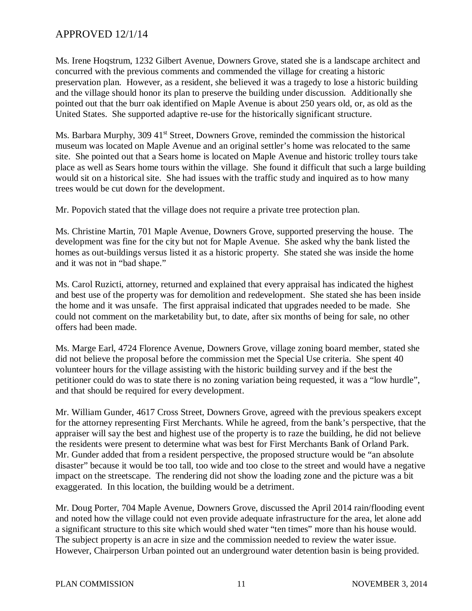Ms. Irene Hoqstrum, 1232 Gilbert Avenue, Downers Grove, stated she is a landscape architect and concurred with the previous comments and commended the village for creating a historic preservation plan. However, as a resident, she believed it was a tragedy to lose a historic building and the village should honor its plan to preserve the building under discussion. Additionally she pointed out that the burr oak identified on Maple Avenue is about 250 years old, or, as old as the United States. She supported adaptive re-use for the historically significant structure.

Ms. Barbara Murphy, 309 41<sup>st</sup> Street, Downers Grove, reminded the commission the historical museum was located on Maple Avenue and an original settler's home was relocated to the same site. She pointed out that a Sears home is located on Maple Avenue and historic trolley tours take place as well as Sears home tours within the village. She found it difficult that such a large building would sit on a historical site. She had issues with the traffic study and inquired as to how many trees would be cut down for the development.

Mr. Popovich stated that the village does not require a private tree protection plan.

Ms. Christine Martin, 701 Maple Avenue, Downers Grove, supported preserving the house. The development was fine for the city but not for Maple Avenue. She asked why the bank listed the homes as out-buildings versus listed it as a historic property. She stated she was inside the home and it was not in "bad shape."

Ms. Carol Ruzicti, attorney, returned and explained that every appraisal has indicated the highest and best use of the property was for demolition and redevelopment. She stated she has been inside the home and it was unsafe. The first appraisal indicated that upgrades needed to be made. She could not comment on the marketability but, to date, after six months of being for sale, no other offers had been made.

Ms. Marge Earl, 4724 Florence Avenue, Downers Grove, village zoning board member, stated she did not believe the proposal before the commission met the Special Use criteria. She spent 40 volunteer hours for the village assisting with the historic building survey and if the best the petitioner could do was to state there is no zoning variation being requested, it was a "low hurdle", and that should be required for every development.

Mr. William Gunder, 4617 Cross Street, Downers Grove, agreed with the previous speakers except for the attorney representing First Merchants. While he agreed, from the bank's perspective, that the appraiser will say the best and highest use of the property is to raze the building, he did not believe the residents were present to determine what was best for First Merchants Bank of Orland Park. Mr. Gunder added that from a resident perspective, the proposed structure would be "an absolute disaster" because it would be too tall, too wide and too close to the street and would have a negative impact on the streetscape. The rendering did not show the loading zone and the picture was a bit exaggerated. In this location, the building would be a detriment.

Mr. Doug Porter, 704 Maple Avenue, Downers Grove, discussed the April 2014 rain/flooding event and noted how the village could not even provide adequate infrastructure for the area, let alone add a significant structure to this site which would shed water "ten times" more than his house would. The subject property is an acre in size and the commission needed to review the water issue. However, Chairperson Urban pointed out an underground water detention basin is being provided.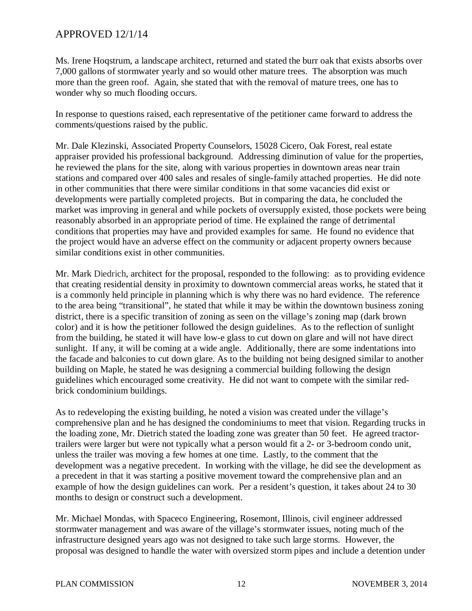Ms. Irene Hoqstrum, a landscape architect, returned and stated the burr oak that exists absorbs over 7,000 gallons of stormwater yearly and so would other mature trees. The absorption was much more than the green roof. Again, she stated that with the removal of mature trees, one has to wonder why so much flooding occurs.

In response to questions raised, each representative of the petitioner came forward to address the comments/questions raised by the public.

Mr. Dale Klezinski, Associated Property Counselors, 15028 Cicero, Oak Forest, real estate appraiser provided his professional background. Addressing diminution of value for the properties, he reviewed the plans for the site, along with various properties in downtown areas near train stations and compared over 400 sales and resales of single-family attached properties. He did note in other communities that there were similar conditions in that some vacancies did exist or developments were partially completed projects. But in comparing the data, he concluded the market was improving in general and while pockets of oversupply existed, those pockets were being reasonably absorbed in an appropriate period of time. He explained the range of detrimental conditions that properties may have and provided examples for same. He found no evidence that the project would have an adverse effect on the community or adjacent property owners because similar conditions exist in other communities.

Mr. Mark Diedrich, architect for the proposal, responded to the following: as to providing evidence that creating residential density in proximity to downtown commercial areas works, he stated that it is a commonly held principle in planning which is why there was no hard evidence. The reference to the area being "transitional", he stated that while it may be within the downtown business zoning district, there is a specific transition of zoning as seen on the village's zoning map (dark brown color) and it is how the petitioner followed the design guidelines. As to the reflection of sunlight from the building, he stated it will have low-e glass to cut down on glare and will not have direct sunlight. If any, it will be coming at a wide angle. Additionally, there are some indentations into the facade and balconies to cut down glare. As to the building not being designed similar to another building on Maple, he stated he was designing a commercial building following the design guidelines which encouraged some creativity. He did not want to compete with the similar redbrick condominium buildings.

As to redeveloping the existing building, he noted a vision was created under the village's comprehensive plan and he has designed the condominiums to meet that vision. Regarding trucks in the loading zone, Mr. Dietrich stated the loading zone was greater than 50 feet. He agreed tractortrailers were larger but were not typically what a person would fit a 2- or 3-bedroom condo unit, unless the trailer was moving a few homes at one time. Lastly, to the comment that the development was a negative precedent. In working with the village, he did see the development as a precedent in that it was starting a positive movement toward the comprehensive plan and an example of how the design guidelines can work. Per a resident's question, it takes about 24 to 30 months to design or construct such a development.

Mr. Michael Mondas, with Spaceco Engineering, Rosemont, Illinois, civil engineer addressed stormwater management and was aware of the village's stormwater issues, noting much of the infrastructure designed years ago was not designed to take such large storms. However, the proposal was designed to handle the water with oversized storm pipes and include a detention under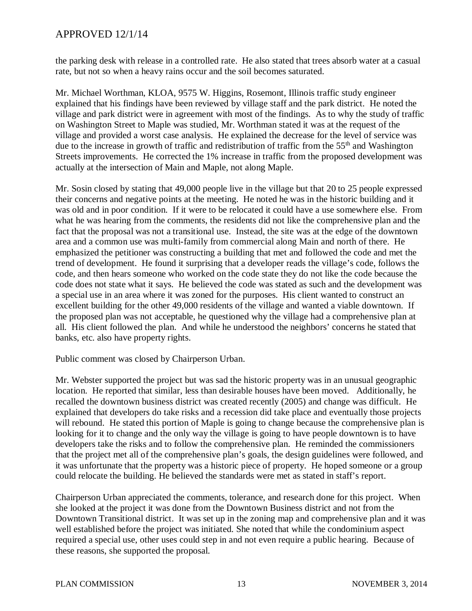the parking desk with release in a controlled rate. He also stated that trees absorb water at a casual rate, but not so when a heavy rains occur and the soil becomes saturated.

Mr. Michael Worthman, KLOA, 9575 W. Higgins, Rosemont, Illinois traffic study engineer explained that his findings have been reviewed by village staff and the park district. He noted the village and park district were in agreement with most of the findings. As to why the study of traffic on Washington Street to Maple was studied, Mr. Worthman stated it was at the request of the village and provided a worst case analysis. He explained the decrease for the level of service was due to the increase in growth of traffic and redistribution of traffic from the 55<sup>th</sup> and Washington Streets improvements. He corrected the 1% increase in traffic from the proposed development was actually at the intersection of Main and Maple, not along Maple.

Mr. Sosin closed by stating that 49,000 people live in the village but that 20 to 25 people expressed their concerns and negative points at the meeting. He noted he was in the historic building and it was old and in poor condition. If it were to be relocated it could have a use somewhere else. From what he was hearing from the comments, the residents did not like the comprehensive plan and the fact that the proposal was not a transitional use. Instead, the site was at the edge of the downtown area and a common use was multi-family from commercial along Main and north of there. He emphasized the petitioner was constructing a building that met and followed the code and met the trend of development. He found it surprising that a developer reads the village's code, follows the code, and then hears someone who worked on the code state they do not like the code because the code does not state what it says. He believed the code was stated as such and the development was a special use in an area where it was zoned for the purposes. His client wanted to construct an excellent building for the other 49,000 residents of the village and wanted a viable downtown. If the proposed plan was not acceptable, he questioned why the village had a comprehensive plan at all. His client followed the plan. And while he understood the neighbors' concerns he stated that banks, etc. also have property rights.

Public comment was closed by Chairperson Urban.

Mr. Webster supported the project but was sad the historic property was in an unusual geographic location. He reported that similar, less than desirable houses have been moved. Additionally, he recalled the downtown business district was created recently (2005) and change was difficult. He explained that developers do take risks and a recession did take place and eventually those projects will rebound. He stated this portion of Maple is going to change because the comprehensive plan is looking for it to change and the only way the village is going to have people downtown is to have developers take the risks and to follow the comprehensive plan. He reminded the commissioners that the project met all of the comprehensive plan's goals, the design guidelines were followed, and it was unfortunate that the property was a historic piece of property. He hoped someone or a group could relocate the building. He believed the standards were met as stated in staff's report.

Chairperson Urban appreciated the comments, tolerance, and research done for this project. When she looked at the project it was done from the Downtown Business district and not from the Downtown Transitional district. It was set up in the zoning map and comprehensive plan and it was well established before the project was initiated. She noted that while the condominium aspect required a special use, other uses could step in and not even require a public hearing. Because of these reasons, she supported the proposal.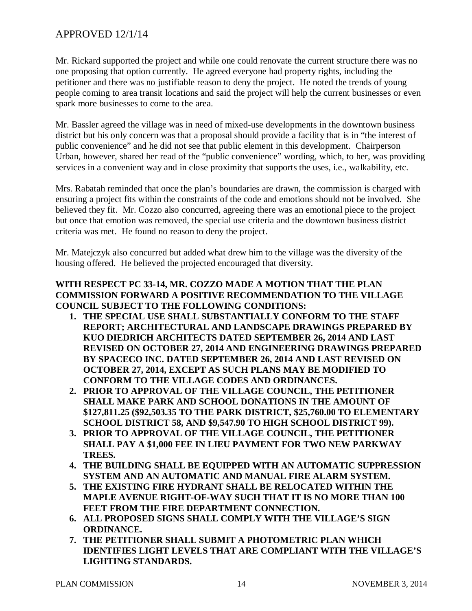Mr. Rickard supported the project and while one could renovate the current structure there was no one proposing that option currently. He agreed everyone had property rights, including the petitioner and there was no justifiable reason to deny the project. He noted the trends of young people coming to area transit locations and said the project will help the current businesses or even spark more businesses to come to the area.

Mr. Bassler agreed the village was in need of mixed-use developments in the downtown business district but his only concern was that a proposal should provide a facility that is in "the interest of public convenience" and he did not see that public element in this development. Chairperson Urban, however, shared her read of the "public convenience" wording, which, to her, was providing services in a convenient way and in close proximity that supports the uses, i.e., walkability, etc.

Mrs. Rabatah reminded that once the plan's boundaries are drawn, the commission is charged with ensuring a project fits within the constraints of the code and emotions should not be involved. She believed they fit. Mr. Cozzo also concurred, agreeing there was an emotional piece to the project but once that emotion was removed, the special use criteria and the downtown business district criteria was met. He found no reason to deny the project.

Mr. Matejczyk also concurred but added what drew him to the village was the diversity of the housing offered. He believed the projected encouraged that diversity.

#### **WITH RESPECT PC 33-14, MR. COZZO MADE A MOTION THAT THE PLAN COMMISSION FORWARD A POSITIVE RECOMMENDATION TO THE VILLAGE COUNCIL SUBJECT TO THE FOLLOWING CONDITIONS:**

- **1. THE SPECIAL USE SHALL SUBSTANTIALLY CONFORM TO THE STAFF REPORT; ARCHITECTURAL AND LANDSCAPE DRAWINGS PREPARED BY KUO DIEDRICH ARCHITECTS DATED SEPTEMBER 26, 2014 AND LAST REVISED ON OCTOBER 27, 2014 AND ENGINEERING DRAWINGS PREPARED BY SPACECO INC. DATED SEPTEMBER 26, 2014 AND LAST REVISED ON OCTOBER 27, 2014, EXCEPT AS SUCH PLANS MAY BE MODIFIED TO CONFORM TO THE VILLAGE CODES AND ORDINANCES.**
- **2. PRIOR TO APPROVAL OF THE VILLAGE COUNCIL, THE PETITIONER SHALL MAKE PARK AND SCHOOL DONATIONS IN THE AMOUNT OF \$127,811.25 (\$92,503.35 TO THE PARK DISTRICT, \$25,760.00 TO ELEMENTARY SCHOOL DISTRICT 58, AND \$9,547.90 TO HIGH SCHOOL DISTRICT 99).**
- **3. PRIOR TO APPROVAL OF THE VILLAGE COUNCIL, THE PETITIONER SHALL PAY A \$1,000 FEE IN LIEU PAYMENT FOR TWO NEW PARKWAY TREES.**
- **4. THE BUILDING SHALL BE EQUIPPED WITH AN AUTOMATIC SUPPRESSION SYSTEM AND AN AUTOMATIC AND MANUAL FIRE ALARM SYSTEM.**
- **5. THE EXISTING FIRE HYDRANT SHALL BE RELOCATED WITHIN THE MAPLE AVENUE RIGHT-OF-WAY SUCH THAT IT IS NO MORE THAN 100 FEET FROM THE FIRE DEPARTMENT CONNECTION.**
- **6. ALL PROPOSED SIGNS SHALL COMPLY WITH THE VILLAGE'S SIGN ORDINANCE.**
- **7. THE PETITIONER SHALL SUBMIT A PHOTOMETRIC PLAN WHICH IDENTIFIES LIGHT LEVELS THAT ARE COMPLIANT WITH THE VILLAGE'S LIGHTING STANDARDS.**